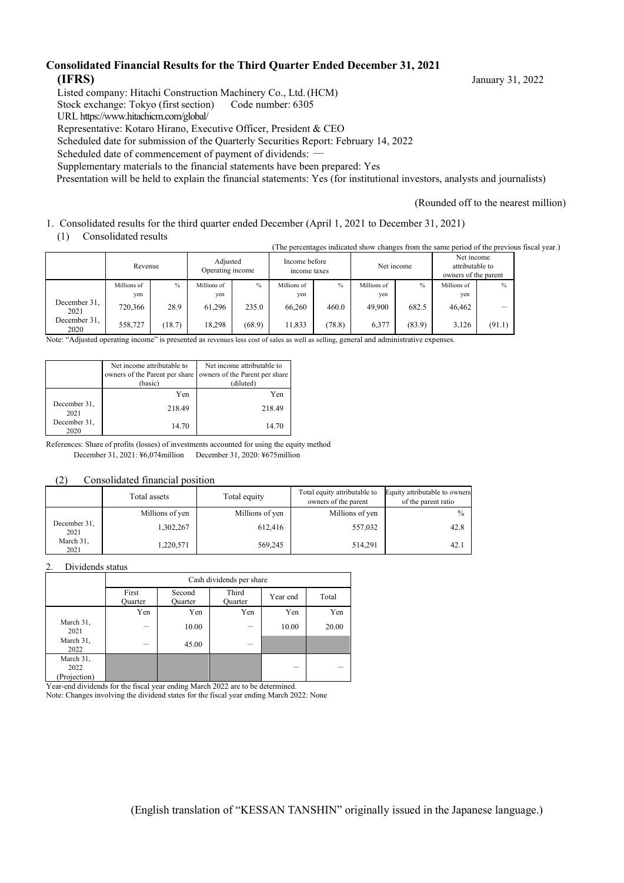#### **Consolidated Financial Results for the Third Quarter Ended December 31, 2021 (IFRS)** January 31, 2022

Listed company: Hitachi Construction Machinery Co., Ltd.(HCM)

Stock exchange: Tokyo (first section) Code number: 6305

URL https://www.hitachicm.com/global/

Representative: Kotaro Hirano, Executive Officer, President & CEO

Scheduled date for submission of the Quarterly Securities Report: February 14, 2022

Scheduled date of commencement of payment of dividends: ―

Supplementary materials to the financial statements have been prepared: Yes

Presentation will be held to explain the financial statements: Yes (for institutional investors, analysts and journalists)

(Rounded off to the nearest million)

1. Consolidated results for the third quarter ended December (April 1, 2021 to December 31, 2021)

(1) Consolidated results

(The percentages indicated show changes from the same period of the previous fiscal year.)

|                      | Revenue     |        | Adjusted<br>Operating income |        | Income before<br>income taxes |        | Net income  |        | Net income<br>attributable to<br>owners of the parent |        |
|----------------------|-------------|--------|------------------------------|--------|-------------------------------|--------|-------------|--------|-------------------------------------------------------|--------|
|                      | Millions of | $\%$   | Millions of                  | $\%$   | Millions of                   | $\%$   | Millions of | $\%$   | Millions of                                           | $\%$   |
|                      | yen         |        | yen                          |        | yen                           |        | ven         |        | yen                                                   |        |
| December 31,<br>2021 | 720,366     | 28.9   | 61.296                       | 235.0  | 66,260                        | 460.0  | 49.900      | 682.5  | 46,462                                                | -      |
| December 31,<br>2020 | 558,727     | (18.7) | 18.298                       | (68.9) | 11,833                        | (78.8) | 6,377       | (83.9) | 3.126                                                 | (91.1) |

Note: "Adjusted operating income" is presented as revenues less cost of sales as well as selling, general and administrative expenses.

|                      | Net income attributable to<br>owners of the Parent per share<br>(basic) | Net income attributable to<br>owners of the Parent per share<br>(diluted) |
|----------------------|-------------------------------------------------------------------------|---------------------------------------------------------------------------|
|                      | Yen                                                                     | Yen                                                                       |
| December 31,<br>2021 | 218.49                                                                  | 218.49                                                                    |
| December 31,<br>2020 | 14.70                                                                   | 14.70                                                                     |

References: Share of profits (losses) of investments accounted for using the equity method December 31, 2021: ¥6,074million December 31, 2020: ¥675million

#### (2) Consolidated financial position

|                      | Total assets    | Total equity    | Total equity attributable to<br>owners of the parent | Equity attributable to owners<br>of the parent ratio |
|----------------------|-----------------|-----------------|------------------------------------------------------|------------------------------------------------------|
|                      | Millions of yen | Millions of yen | Millions of yen                                      | $\frac{0}{0}$                                        |
| December 31,<br>2021 | 1,302,267       | 612,416         | 557,032                                              | 42.8                                                 |
| March 31,<br>2021    | 1,220,571       | 569,245         | 514,291                                              | 42.1                                                 |

#### 2. Dividends status

|                                   | Cash dividends per share |                   |                  |          |       |  |  |  |
|-----------------------------------|--------------------------|-------------------|------------------|----------|-------|--|--|--|
|                                   | First<br>Quarter         | Second<br>Quarter | Third<br>Quarter | Year end | Total |  |  |  |
|                                   | Yen                      | Yen               | Yen              | Yen      | Yen   |  |  |  |
| March 31,<br>2021                 |                          | 10.00             |                  | 10.00    | 20.00 |  |  |  |
| March 31,<br>2022                 |                          | 45.00             | –                |          |       |  |  |  |
| March 31,<br>2022<br>(Projection) |                          |                   |                  | –        |       |  |  |  |

Year-end dividends for the fiscal year ending March 2022 are to be determined.

Note: Changes involving the dividend states for the fiscal year ending March 2022: None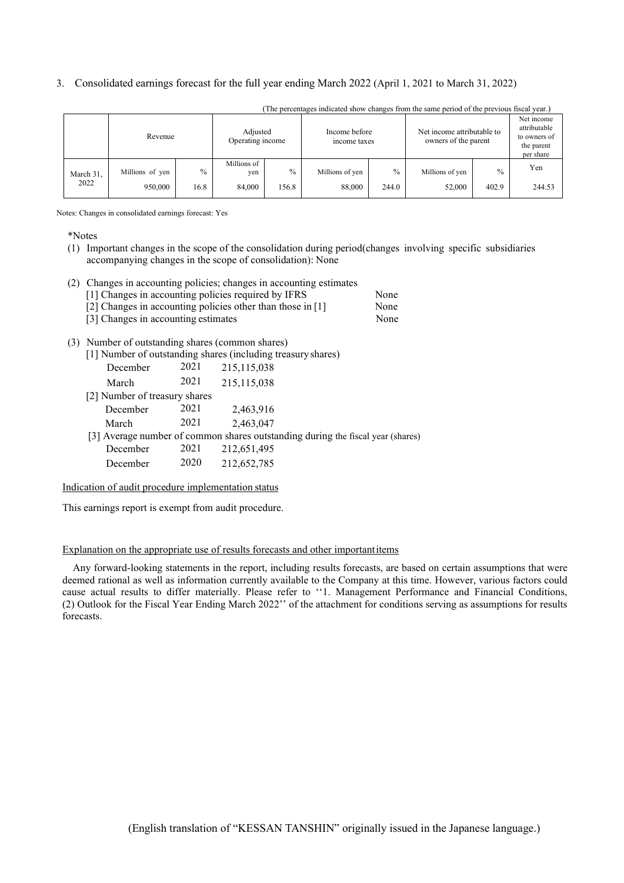#### 3. Consolidated earnings forecast for the full year ending March 2022 (April 1, 2021 to March 31, 2022)

|           |                 |               | The percentages indicated show enanges from the same period of the previous fiscar year. |               |                               |       |                                                    |               |                                                                       |
|-----------|-----------------|---------------|------------------------------------------------------------------------------------------|---------------|-------------------------------|-------|----------------------------------------------------|---------------|-----------------------------------------------------------------------|
|           | Revenue         |               | Adjusted<br>Operating income                                                             |               | Income before<br>income taxes |       | Net income attributable to<br>owners of the parent |               | Net income<br>attributable<br>to owners of<br>the parent<br>per share |
| March 31, | Millions of yen | $\frac{0}{0}$ | Millions of<br>yen                                                                       | $\frac{0}{0}$ | Millions of yen               | $\%$  | Millions of yen                                    | $\frac{0}{0}$ | Yen                                                                   |
| 2022      | 950,000         | 16.8          | 84,000                                                                                   | 156.8         | 88,000                        | 244.0 | 52,000                                             | 402.9         | 244.53                                                                |

(The percentages indicated show changes from the same period of the previous fiscal year.)

Notes: Changes in consolidated earnings forecast: Yes

\*Notes

(1) Important changes in the scope of the consolidation during period(changes involving specific subsidiaries accompanying changes in the scope of consolidation): None

#### (2) Changes in accounting policies; changes in accounting estimates

| [1] Changes in accounting policies required by IFRS          |  |  | None |
|--------------------------------------------------------------|--|--|------|
| [2] Changes in accounting policies other than those in $[1]$ |  |  | None |

### [3] Changes in accounting estimates None

#### (3) Number of outstanding shares (common shares)

|                               |      | [1] Number of outstanding shares (including treasury shares)                    |
|-------------------------------|------|---------------------------------------------------------------------------------|
| December                      | 2021 | 215,115,038                                                                     |
| March                         | 2021 | 215,115,038                                                                     |
| [2] Number of treasury shares |      |                                                                                 |
| December                      | 2021 | 2,463,916                                                                       |
| March                         | 2021 | 2,463,047                                                                       |
|                               |      | [3] Average number of common shares outstanding during the fiscal year (shares) |
| December                      | 2021 | 212,651,495                                                                     |
| December                      | 2020 | 212,652,785                                                                     |
|                               |      |                                                                                 |

#### Indication of audit procedure implementation status

This earnings report is exempt from audit procedure.

#### Explanation on the appropriate use of results forecasts and other importantitems

Any forward-looking statements in the report, including results forecasts, are based on certain assumptions that were deemed rational as well as information currently available to the Company at this time. However, various factors could cause actual results to differ materially. Please refer to ''1. Management Performance and Financial Conditions, (2) Outlook for the Fiscal Year Ending March 2022'' of the attachment for conditions serving as assumptions for results forecasts.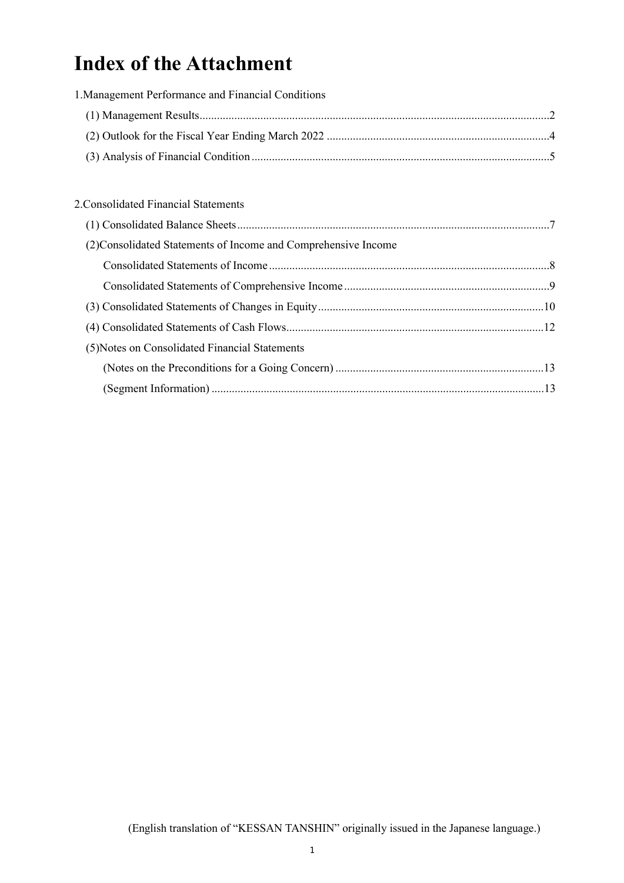# **Index of the Attachment**

| 1. Management Performance and Financial Conditions             |  |
|----------------------------------------------------------------|--|
|                                                                |  |
|                                                                |  |
|                                                                |  |
|                                                                |  |
| 2. Consolidated Financial Statements                           |  |
|                                                                |  |
| (2) Consolidated Statements of Income and Comprehensive Income |  |
|                                                                |  |
|                                                                |  |
|                                                                |  |
|                                                                |  |
| (5) Notes on Consolidated Financial Statements                 |  |
|                                                                |  |
|                                                                |  |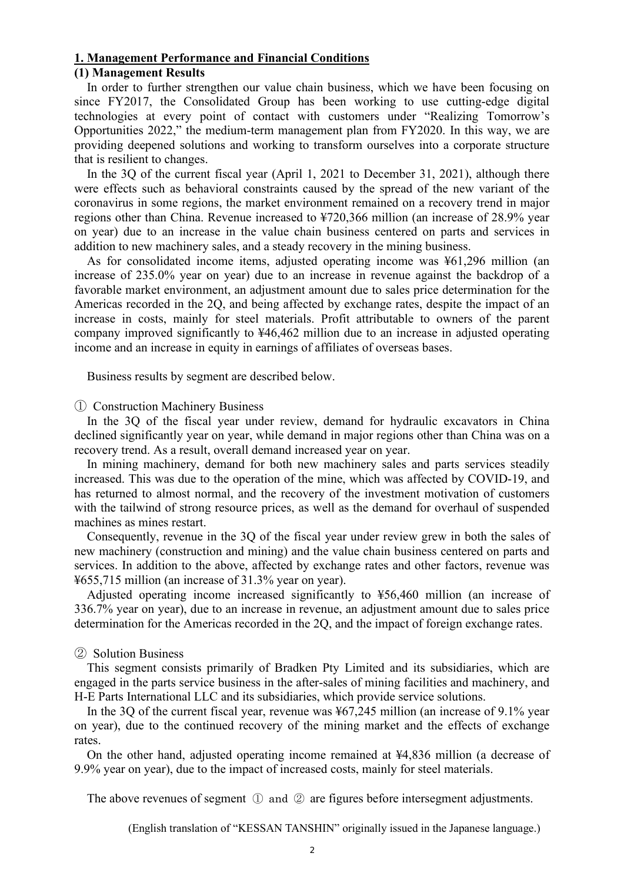#### **1. Management Performance and Financial Conditions**

#### **(1) Management Results**

In order to further strengthen our value chain business, which we have been focusing on since FY2017, the Consolidated Group has been working to use cutting-edge digital technologies at every point of contact with customers under "Realizing Tomorrow's Opportunities 2022," the medium-term management plan from FY2020. In this way, we are providing deepened solutions and working to transform ourselves into a corporate structure that is resilient to changes.

In the 3Q of the current fiscal year (April 1, 2021 to December 31, 2021), although there were effects such as behavioral constraints caused by the spread of the new variant of the coronavirus in some regions, the market environment remained on a recovery trend in major regions other than China. Revenue increased to ¥720,366 million (an increase of 28.9% year on year) due to an increase in the value chain business centered on parts and services in addition to new machinery sales, and a steady recovery in the mining business.

As for consolidated income items, adjusted operating income was ¥61,296 million (an increase of 235.0% year on year) due to an increase in revenue against the backdrop of a favorable market environment, an adjustment amount due to sales price determination for the Americas recorded in the 2Q, and being affected by exchange rates, despite the impact of an increase in costs, mainly for steel materials. Profit attributable to owners of the parent company improved significantly to ¥46,462 million due to an increase in adjusted operating income and an increase in equity in earnings of affiliates of overseas bases.

Business results by segment are described below.

#### ① Construction Machinery Business

In the 3Q of the fiscal year under review, demand for hydraulic excavators in China declined significantly year on year, while demand in major regions other than China was on a recovery trend. As a result, overall demand increased year on year.

In mining machinery, demand for both new machinery sales and parts services steadily increased. This was due to the operation of the mine, which was affected by COVID-19, and has returned to almost normal, and the recovery of the investment motivation of customers with the tailwind of strong resource prices, as well as the demand for overhaul of suspended machines as mines restart.

Consequently, revenue in the 3Q of the fiscal year under review grew in both the sales of new machinery (construction and mining) and the value chain business centered on parts and services. In addition to the above, affected by exchange rates and other factors, revenue was ¥655,715 million (an increase of 31.3% year on year).

Adjusted operating income increased significantly to ¥56,460 million (an increase of 336.7% year on year), due to an increase in revenue, an adjustment amount due to sales price determination for the Americas recorded in the 2Q, and the impact of foreign exchange rates.

#### ② Solution Business

This segment consists primarily of Bradken Pty Limited and its subsidiaries, which are engaged in the parts service business in the after-sales of mining facilities and machinery, and H-E Parts International LLC and its subsidiaries, which provide service solutions.

In the 3Q of the current fiscal year, revenue was ¥67,245 million (an increase of 9.1% year on year), due to the continued recovery of the mining market and the effects of exchange rates.

On the other hand, adjusted operating income remained at ¥4,836 million (a decrease of 9.9% year on year), due to the impact of increased costs, mainly for steel materials.

The above revenues of segment ① and ② are figures before intersegment adjustments.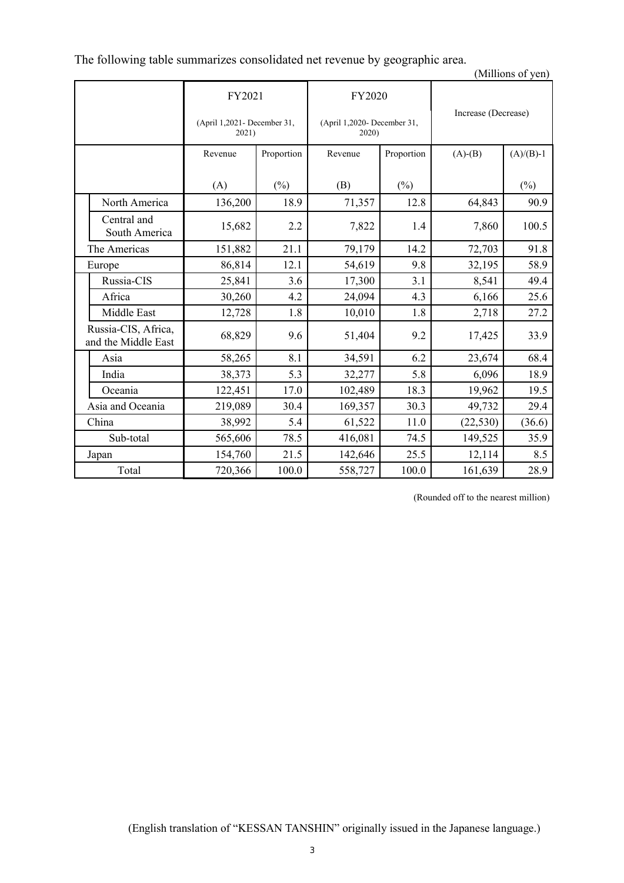The following table summarizes consolidated net revenue by geographic area.

(Millions of yen)

|           |                                            | FY2021                               |            | FY2020                               |            | Increase (Decrease) |             |
|-----------|--------------------------------------------|--------------------------------------|------------|--------------------------------------|------------|---------------------|-------------|
|           |                                            | (April 1,2021- December 31,<br>2021) |            | (April 1,2020- December 31,<br>2020) |            |                     |             |
|           |                                            | Revenue                              | Proportion | Revenue                              | Proportion | $(A)-(B)$           | $(A)/(B)-1$ |
|           |                                            | (A)                                  | $(\%)$     | (B)                                  | (%)        |                     | $(\%)$      |
|           | North America                              | 136,200                              | 18.9       | 71,357                               | 12.8       | 64,843              | 90.9        |
|           | Central and<br>South America               | 15,682                               | 2.2        | 7,822                                | 1.4        | 7,860               | 100.5       |
|           | The Americas                               | 151,882                              | 21.1       | 79,179                               | 14.2       | 72,703              | 91.8        |
|           | Europe                                     | 86,814                               | 12.1       | 54,619                               | 9.8        | 32,195              | 58.9        |
|           | Russia-CIS                                 | 25,841                               | 3.6        | 17,300                               | 3.1        | 8,541               | 49.4        |
|           | Africa                                     | 30,260                               | 4.2        | 24,094                               | 4.3        | 6,166               | 25.6        |
|           | Middle East                                | 12,728                               | 1.8        | 10,010                               | 1.8        | 2,718               | 27.2        |
|           | Russia-CIS, Africa,<br>and the Middle East | 68,829                               | 9.6        | 51,404                               | 9.2        | 17,425              | 33.9        |
|           | Asia                                       | 58,265                               | 8.1        | 34,591                               | 6.2        | 23,674              | 68.4        |
|           | India                                      | 38,373                               | 5.3        | 32,277                               | 5.8        | 6,096               | 18.9        |
|           | Oceania                                    | 122,451                              | 17.0       | 102,489                              | 18.3       | 19,962              | 19.5        |
|           | Asia and Oceania                           | 219,089                              | 30.4       | 169,357                              | 30.3       | 49,732              | 29.4        |
|           | China                                      | 38,992                               | 5.4        | 61,522                               | 11.0       | (22, 530)           | (36.6)      |
| Sub-total |                                            | 565,606                              | 78.5       | 416,081                              | 74.5       | 149,525             | 35.9        |
|           | Japan                                      | 154,760                              | 21.5       | 142,646                              | 25.5       | 12,114              | 8.5         |
|           | Total                                      | 720,366                              | 100.0      | 558,727                              | 100.0      | 161,639             | 28.9        |

(Rounded off to the nearest million)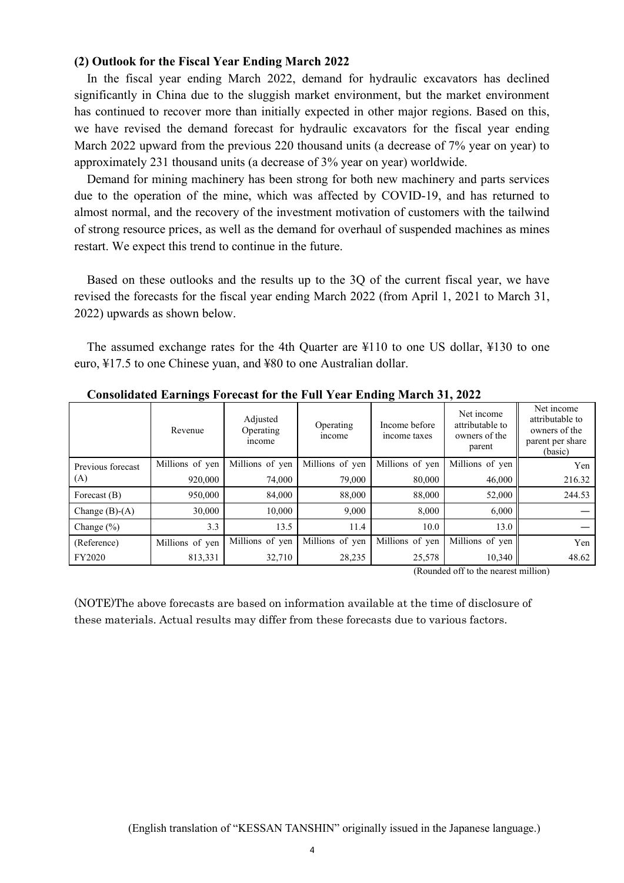#### **(2) Outlook for the Fiscal Year Ending March 2022**

In the fiscal year ending March 2022, demand for hydraulic excavators has declined significantly in China due to the sluggish market environment, but the market environment has continued to recover more than initially expected in other major regions. Based on this, we have revised the demand forecast for hydraulic excavators for the fiscal year ending March 2022 upward from the previous 220 thousand units (a decrease of 7% year on year) to approximately 231 thousand units (a decrease of 3% year on year) worldwide.

Demand for mining machinery has been strong for both new machinery and parts services due to the operation of the mine, which was affected by COVID-19, and has returned to almost normal, and the recovery of the investment motivation of customers with the tailwind of strong resource prices, as well as the demand for overhaul of suspended machines as mines restart. We expect this trend to continue in the future.

Based on these outlooks and the results up to the 3Q of the current fiscal year, we have revised the forecasts for the fiscal year ending March 2022 (from April 1, 2021 to March 31, 2022) upwards as shown below.

The assumed exchange rates for the 4th Quarter are ¥110 to one US dollar, ¥130 to one euro, ¥17.5 to one Chinese yuan, and ¥80 to one Australian dollar.

|                   | Revenue         | Adjusted<br>Operating<br>income | Operating<br>income | Income before<br>income taxes | Net income<br>attributable to<br>owners of the<br>parent | Net income<br>attributable to<br>owners of the<br>parent per share<br>(basic) |
|-------------------|-----------------|---------------------------------|---------------------|-------------------------------|----------------------------------------------------------|-------------------------------------------------------------------------------|
| Previous forecast | Millions of yen | Millions of yen                 | Millions of yen     | Millions of yen               | Millions of yen                                          | Yen                                                                           |
| (A)               | 920,000         | 74,000                          | 79,000              | 80,000                        | 46,000                                                   | 216.32                                                                        |
| Forecast $(B)$    | 950,000         | 84,000                          | 88,000              | 88,000                        | 52,000                                                   | 244.53                                                                        |
| Change $(B)-(A)$  | 30,000          | 10,000                          | 9,000               | 8.000                         | 6,000                                                    |                                                                               |
| Change $(\% )$    | 3.3             | 13.5                            | 11.4                | 10.0                          | 13.0                                                     |                                                                               |
| (Reference)       | Millions of yen | Millions of yen                 | Millions of yen     | Millions of yen               | Millions of yen                                          | Yen                                                                           |
| FY2020            | 813,331         | 32,710                          | 28,235              | 25,578                        | 10,340                                                   | 48.62                                                                         |

**Consolidated Earnings Forecast for the Full Year Ending March 31, 2022** 

(Rounded off to the nearest million)

(NOTE)The above forecasts are based on information available at the time of disclosure of these materials. Actual results may differ from these forecasts due to various factors.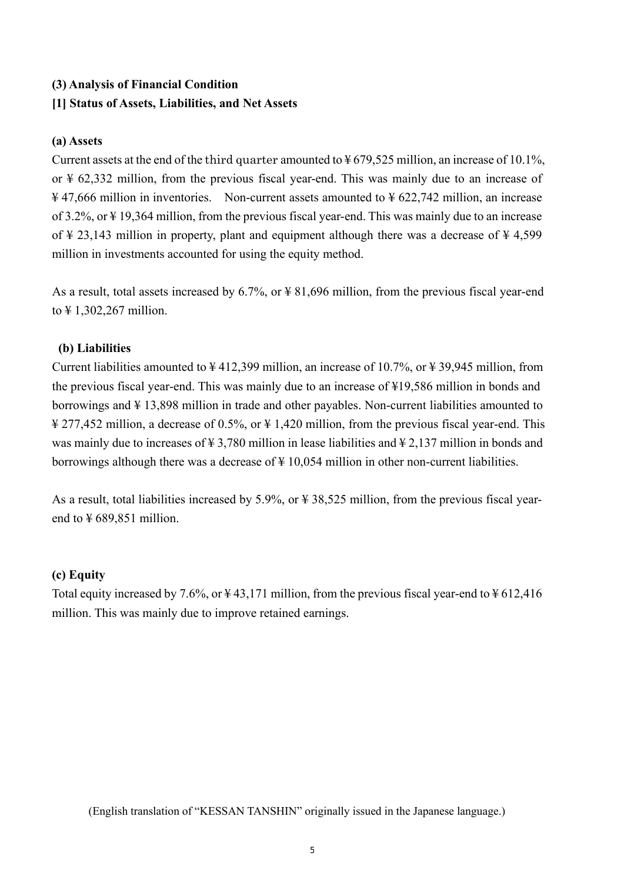## **(3) Analysis of Financial Condition**

## **[1] Status of Assets, Liabilities, and Net Assets**

### **(a) Assets**

Current assets at the end of the third quarter amounted to  $\frac{1}{2}$  679,525 million, an increase of 10.1%, or ¥ 62,332 million, from the previous fiscal year-end. This was mainly due to an increase of  $\frac{12}{7}$ ,666 million in inventories. Non-current assets amounted to  $\frac{12}{7}$  622,742 million, an increase of 3.2%, or ¥ 19,364 million, from the previous fiscal year-end. This was mainly due to an increase of  $\frac{1}{2}$  23,143 million in property, plant and equipment although there was a decrease of  $\frac{1}{2}$  4,599 million in investments accounted for using the equity method.

As a result, total assets increased by 6.7%, or ¥ 81,696 million, from the previous fiscal year-end to ¥ 1,302,267 million.

### **(b) Liabilities**

Current liabilities amounted to ¥ 412,399 million, an increase of 10.7%, or ¥ 39,945 million, from the previous fiscal year-end. This was mainly due to an increase of ¥19,586 million in bonds and borrowings and ¥ 13,898 million in trade and other payables. Non-current liabilities amounted to ¥ 277,452 million, a decrease of 0.5%, or ¥ 1,420 million, from the previous fiscal year-end. This was mainly due to increases of ¥ 3,780 million in lease liabilities and ¥ 2,137 million in bonds and borrowings although there was a decrease of  $\frac{1}{2}$  10,054 million in other non-current liabilities.

As a result, total liabilities increased by 5.9%, or ¥ 38,525 million, from the previous fiscal yearend to  $\frac{1}{2}$  689,851 million.

### **(c) Equity**

Total equity increased by 7.6%, or  $\frac{1}{4}$  43,171 million, from the previous fiscal year-end to  $\frac{1}{4}$  612,416 million. This was mainly due to improve retained earnings.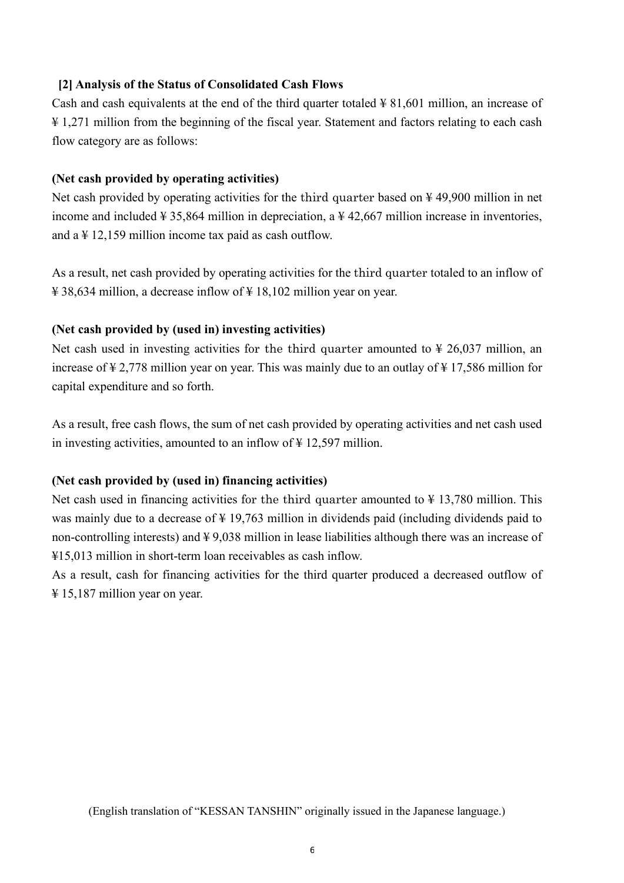## **[2] Analysis of the Status of Consolidated Cash Flows**

Cash and cash equivalents at the end of the third quarter totaled  $\frac{1}{2}$  81,601 million, an increase of ¥ 1,271 million from the beginning of the fiscal year. Statement and factors relating to each cash flow category are as follows:

### **(Net cash provided by operating activities)**

Net cash provided by operating activities for the third quarter based on ¥ 49,900 million in net income and included  $\frac{1}{4}$  35,864 million in depreciation, a  $\frac{1}{4}$  42,667 million increase in inventories, and  $a \not\equiv 12,159$  million income tax paid as cash outflow.

As a result, net cash provided by operating activities for the third quarter totaled to an inflow of  $\text{\textsterling} 38,634$  million, a decrease inflow of  $\text{\textsterling} 18,102$  million year on year.

#### **(Net cash provided by (used in) investing activities)**

Net cash used in investing activities for the third quarter amounted to  $\frac{1}{2}$  26,037 million, an increase of ¥ 2,778 million year on year. This was mainly due to an outlay of ¥ 17,586 million for capital expenditure and so forth.

As a result, free cash flows, the sum of net cash provided by operating activities and net cash used in investing activities, amounted to an inflow of  $\frac{1}{2}$  12,597 million.

#### **(Net cash provided by (used in) financing activities)**

Net cash used in financing activities for the third quarter amounted to  $\frac{1}{2}$  13,780 million. This was mainly due to a decrease of ¥ 19,763 million in dividends paid (including dividends paid to non-controlling interests) and  $\frac{1}{2}$  9,038 million in lease liabilities although there was an increase of ¥15,013 million in short-term loan receivables as cash inflow.

As a result, cash for financing activities for the third quarter produced a decreased outflow of ¥ 15,187 million year on year.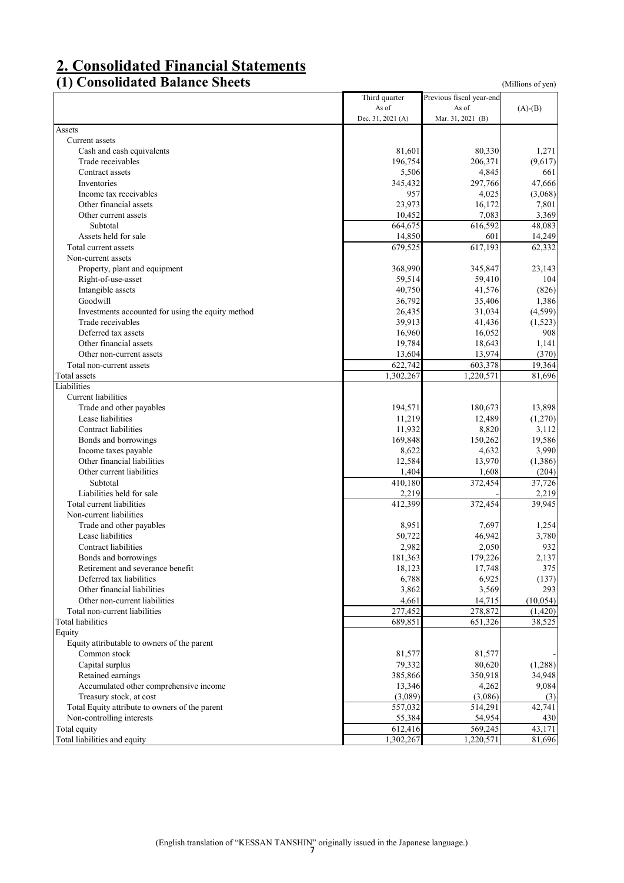# **2. Consolidated Financial Statements**

# **(1) Consolidated Balance Sheets** (Millions of yen)

|                                                   | Third quarter     | Previous fiscal year-end |           |
|---------------------------------------------------|-------------------|--------------------------|-----------|
|                                                   | As of             | As of                    | $(A)-(B)$ |
|                                                   | Dec. 31, 2021 (A) | Mar. 31, 2021 (B)        |           |
| Assets                                            |                   |                          |           |
| Current assets                                    |                   |                          |           |
| Cash and cash equivalents                         | 81,601            | 80,330                   | 1,271     |
| Trade receivables                                 | 196,754           | 206,371                  | (9,617)   |
| Contract assets                                   | 5,506             | 4,845                    | 661       |
| Inventories                                       | 345,432           | 297,766                  | 47,666    |
| Income tax receivables                            | 957               | 4,025                    | (3,068)   |
| Other financial assets                            | 23,973            | 16,172                   | 7,801     |
| Other current assets                              | 10,452            | 7,083                    | 3,369     |
| Subtotal                                          | 664,675           | 616,592                  | 48,083    |
| Assets held for sale                              | 14,850            | 601                      | 14,249    |
| Total current assets                              | 679,525           | 617,193                  | 62,332    |
| Non-current assets                                |                   |                          |           |
| Property, plant and equipment                     | 368,990           | 345,847                  | 23,143    |
| Right-of-use-asset                                | 59,514            | 59,410                   | 104       |
| Intangible assets                                 | 40,750            | 41,576                   | (826)     |
| Goodwill                                          | 36,792            | 35,406                   | 1,386     |
| Investments accounted for using the equity method | 26,435            | 31,034                   | (4,599)   |
| Trade receivables                                 | 39,913            | 41,436                   | (1,523)   |
| Deferred tax assets                               | 16,960            | 16,052                   | 908       |
| Other financial assets                            | 19,784            | 18,643                   | 1,141     |
| Other non-current assets                          | 13,604            | 13,974                   | (370)     |
| Total non-current assets                          | 622,742           | 603,378                  | 19,364    |
| Total assets                                      | 1,302,267         | 1,220,571                | 81,696    |
| Liabilities                                       |                   |                          |           |
| Current liabilities                               |                   |                          |           |
| Trade and other payables                          | 194,571           | 180,673                  | 13,898    |
| Lease liabilities                                 |                   |                          |           |
|                                                   | 11,219            | 12,489                   | (1,270)   |
| Contract liabilities                              | 11,932            | 8,820                    | 3,112     |
| Bonds and borrowings                              | 169,848           | 150,262                  | 19,586    |
| Income taxes payable                              | 8,622             | 4,632                    | 3,990     |
| Other financial liabilities                       | 12,584            | 13,970                   | (1,386)   |
| Other current liabilities                         | 1,404             | 1,608                    | (204)     |
| Subtotal                                          | 410,180           | 372,454                  | 37,726    |
| Liabilities held for sale                         | 2,219             |                          | 2,219     |
| Total current liabilities                         | 412,399           | 372,454                  | 39,945    |
| Non-current liabilities                           |                   |                          |           |
| Trade and other payables                          | 8,951             | 7,697                    | 1,254     |
| Lease liabilities                                 | 50,722            | 46,942                   | 3,780     |
| Contract liabilities                              | 2,982             | 2,050                    | 932       |
| Bonds and borrowings                              | 181,363           | 179,226                  | 2,137     |
| Retirement and severance benefit                  | 18,123            | 17,748                   | 375       |
| Deferred tax liabilities                          | 6,788             | 6,925                    | (137)     |
| Other financial liabilities                       | 3,862             | 3,569                    | 293       |
| Other non-current liabilities                     | 4,661             | 14,715                   | (10, 054) |
| Total non-current liabilities                     | 277,452           | 278,872                  | (1,420)   |
| Total liabilities                                 | 689,851           | 651,326                  | 38,525    |
| Equity                                            |                   |                          |           |
| Equity attributable to owners of the parent       |                   |                          |           |
| Common stock                                      | 81,577            | 81,577                   |           |
| Capital surplus                                   | 79,332            | 80,620                   | (1,288)   |
| Retained earnings                                 | 385,866           | 350,918                  | 34,948    |
| Accumulated other comprehensive income            | 13,346            | 4,262                    | 9,084     |
| Treasury stock, at cost                           | (3,089)           | (3,086)                  | (3)       |
| Total Equity attribute to owners of the parent    | 557,032           | 514,291                  | 42,741    |
| Non-controlling interests                         | 55,384            | 54,954                   | 430       |
| Total equity                                      | 612,416           | 569,245                  | 43,171    |
| Total liabilities and equity                      | 1,302,267         | 1,220,571                | 81,696    |
|                                                   |                   |                          |           |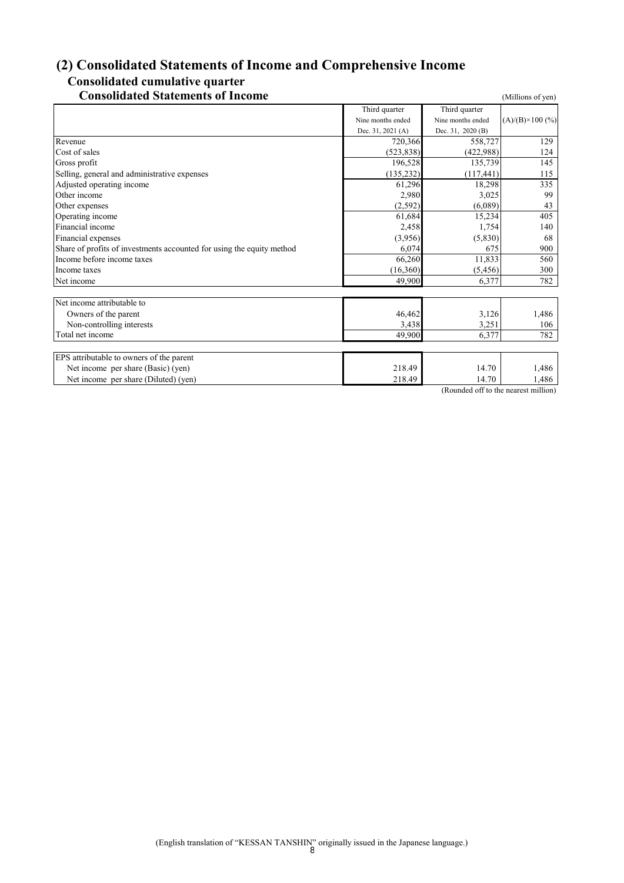# **(2) Consolidated Statements of Income and Comprehensive Income**

# **Consolidated cumulative quarter**

| <b>Consolidated Statements of Income</b>                              |                   |                             | (Millions of yen)       |
|-----------------------------------------------------------------------|-------------------|-----------------------------|-------------------------|
|                                                                       | Third quarter     | Third quarter               |                         |
|                                                                       | Nine months ended | Nine months ended           | $(A)/(B)\times 100$ (%) |
|                                                                       | Dec. 31, 2021 (A) | Dec. 31, 2020 (B)           |                         |
| Revenue                                                               | 720,366           | 558,727                     | 129                     |
| Cost of sales                                                         | (523, 838)        | (422,988)                   | 124                     |
| Gross profit                                                          | 196.528           | 135,739                     | 145                     |
| Selling, general and administrative expenses                          | (135, 232)        | (117, 441)                  | 115                     |
| Adjusted operating income                                             | 61,296            | 18,298                      | 335                     |
| Other income                                                          | 2,980             | 3,025                       | 99                      |
| Other expenses                                                        | (2,592)           | (6,089)                     | 43                      |
| Operating income                                                      | 61,684            | 15,234                      | 405                     |
| Financial income                                                      | 2,458             | 1,754                       | 140                     |
| Financial expenses                                                    | (3,956)           | (5,830)                     | 68                      |
| Share of profits of investments accounted for using the equity method | 6,074             | 675                         | 900                     |
| Income before income taxes                                            | 66,260            | 11,833                      | 560                     |
| Income taxes                                                          | (16,360)          | (5, 456)                    | 300                     |
| Net income                                                            | 49,900            | 6,377                       | 782                     |
| Net income attributable to                                            |                   |                             |                         |
| Owners of the parent                                                  | 46,462            | 3,126                       | 1,486                   |
| Non-controlling interests                                             | 3,438             | 3,251                       | 106                     |
| Total net income                                                      | 49,900            | 6,377                       | 782                     |
|                                                                       |                   |                             |                         |
| EPS attributable to owners of the parent                              |                   |                             |                         |
| Net income per share (Basic) (yen)                                    | 218.49            | 14.70                       | 1,486                   |
| Net income per share (Diluted) (yen)                                  | 218.49            | 14.70<br>$\sim$<br>1.1.0011 | 1,486<br>               |

(Rounded off to the nearest million)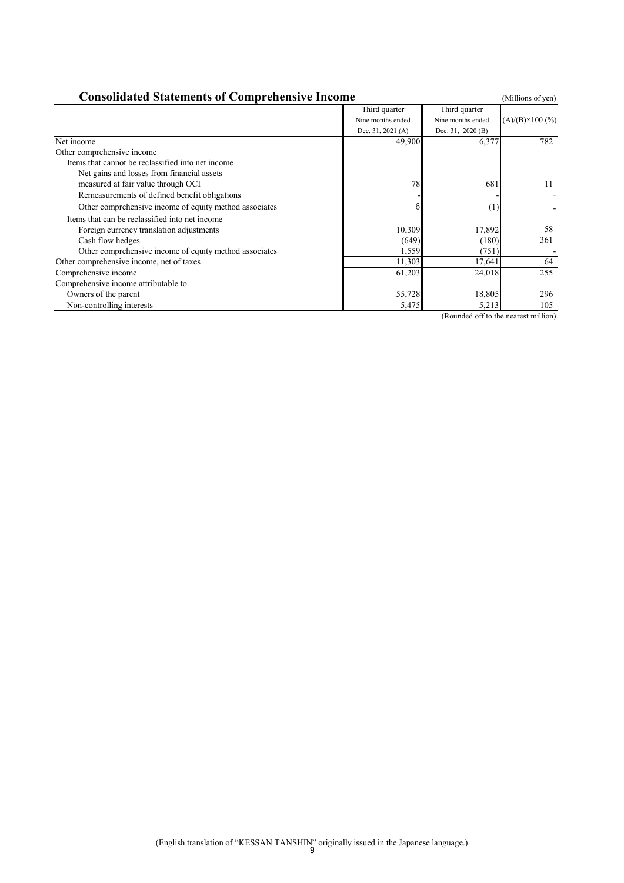| <b>Consolidated Statements of Comprehensive Income</b> |                   |                   |                          |  |  |
|--------------------------------------------------------|-------------------|-------------------|--------------------------|--|--|
|                                                        | Third quarter     | Third quarter     |                          |  |  |
|                                                        | Nine months ended | Nine months ended | $(A)/(B) \times 100$ (%) |  |  |
|                                                        | Dec. 31, 2021 (A) | Dec. 31, 2020 (B) |                          |  |  |
| Net income                                             | 49,900            | 6,377             | 782                      |  |  |
| Other comprehensive income                             |                   |                   |                          |  |  |
| Items that cannot be reclassified into net income      |                   |                   |                          |  |  |
| Net gains and losses from financial assets             |                   |                   |                          |  |  |
| measured at fair value through OCI                     | 78                | 681               | 11                       |  |  |
| Remeasurements of defined benefit obligations          |                   |                   |                          |  |  |
| Other comprehensive income of equity method associates |                   | (1)               |                          |  |  |
| Items that can be reclassified into net income         |                   |                   |                          |  |  |
| Foreign currency translation adjustments               | 10,309            | 17,892            | 58                       |  |  |
| Cash flow hedges                                       | (649)             | (180)             | 361                      |  |  |
| Other comprehensive income of equity method associates | 1,559             | (751)             |                          |  |  |
| Other comprehensive income, net of taxes               | 11,303            | 17,641            | 64                       |  |  |
| Comprehensive income                                   | 61,203            | 24,018            | 255                      |  |  |
| Comprehensive income attributable to                   |                   |                   |                          |  |  |
| Owners of the parent                                   | 55,728            | 18,805            | 296                      |  |  |
| Non-controlling interests                              | 5,475             | 5,213             | 105                      |  |  |

(Rounded off to the nearest million)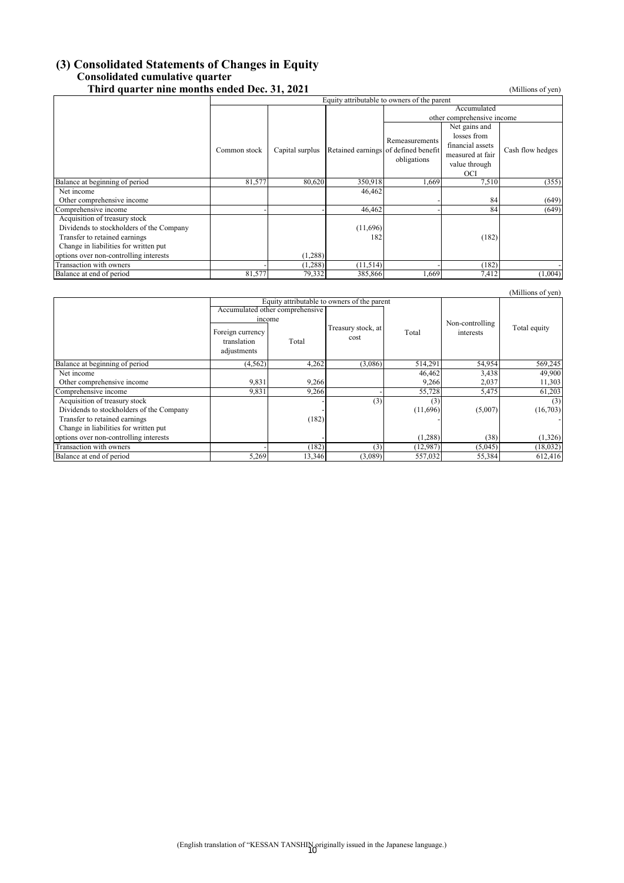# **(3) Consolidated Statements of Changes in Equity Consolidated cumulative quarter**

| Third quarter nine months ended Dec. 31, 2021 |                                             |                 |           |                                                     |                            | (Millions of yen) |  |
|-----------------------------------------------|---------------------------------------------|-----------------|-----------|-----------------------------------------------------|----------------------------|-------------------|--|
|                                               | Equity attributable to owners of the parent |                 |           |                                                     |                            |                   |  |
|                                               |                                             |                 |           |                                                     |                            |                   |  |
|                                               |                                             |                 |           |                                                     | other comprehensive income |                   |  |
|                                               |                                             |                 |           |                                                     | Net gains and              |                   |  |
|                                               |                                             |                 |           |                                                     | losses from                |                   |  |
|                                               |                                             |                 |           | Remeasurements                                      | financial assets           |                   |  |
|                                               | Common stock                                | Capital surplus |           | Retained earnings of defined benefit<br>obligations | measured at fair           | Cash flow hedges  |  |
|                                               |                                             |                 |           |                                                     | value through              |                   |  |
|                                               |                                             |                 |           |                                                     | OCI                        |                   |  |
| Balance at beginning of period                | 81,577                                      | 80,620          | 350,918   | 1,669                                               | 7,510                      | (355)             |  |
| Net income                                    |                                             |                 | 46,462    |                                                     |                            |                   |  |
| Other comprehensive income                    |                                             |                 |           |                                                     | 84                         | (649)             |  |
| Comprehensive income                          |                                             |                 | 46,462    |                                                     | 84                         | (649)             |  |
| Acquisition of treasury stock                 |                                             |                 |           |                                                     |                            |                   |  |
| Dividends to stockholders of the Company      |                                             |                 | (11,696)  |                                                     |                            |                   |  |
| Transfer to retained earnings                 |                                             |                 | 182       |                                                     | (182)                      |                   |  |
| Change in liabilities for written put         |                                             |                 |           |                                                     |                            |                   |  |
| options over non-controlling interests        |                                             | (1,288)         |           |                                                     |                            |                   |  |
| Transaction with owners                       |                                             | (1, 288)        | (11, 514) |                                                     | (182)                      |                   |  |
| Balance at end of period                      | 81,577                                      | 79,332          | 385,866   | 1,669                                               | 7,412                      | (1,004)           |  |

|                                          |                                                          |                                             |                            |          |                              | (Millions of yen) |
|------------------------------------------|----------------------------------------------------------|---------------------------------------------|----------------------------|----------|------------------------------|-------------------|
|                                          |                                                          | Equity attributable to owners of the parent |                            |          |                              |                   |
|                                          |                                                          | Accumulated other comprehensive             |                            |          |                              |                   |
|                                          | income<br>Foreign currency<br>translation<br>adjustments | Total                                       | Treasury stock, at<br>cost | Total    | Non-controlling<br>interests | Total equity      |
| Balance at beginning of period           | (4, 562)                                                 | 4,262                                       | (3,086)                    | 514,291  | 54,954                       | 569,245           |
| Net income                               |                                                          |                                             |                            | 46,462   | 3,438                        | 49,900            |
| Other comprehensive income               | 9,831                                                    | 9,266                                       |                            | 9,266    | 2,037                        | 11,303            |
| Comprehensive income                     | 9,831                                                    | 9,266                                       |                            | 55,728   | 5,475                        | 61,203            |
| Acquisition of treasury stock            |                                                          |                                             | (3)                        | (3)      |                              | (3)               |
| Dividends to stockholders of the Company |                                                          |                                             |                            | (11,696) | (5,007)                      | (16,703)          |
| Transfer to retained earnings            |                                                          | (182)                                       |                            |          |                              |                   |
| Change in liabilities for written put    |                                                          |                                             |                            |          |                              |                   |
| options over non-controlling interests   |                                                          |                                             |                            | (1,288)  | (38)                         | (1,326)           |
| Transaction with owners                  |                                                          | (182)                                       | (3)                        | (12,987) | (5,045)                      | (18, 032)         |
| Balance at end of period                 | 5,269                                                    | 13,346                                      | (3,089)                    | 557,032  | 55,384                       | 612,416           |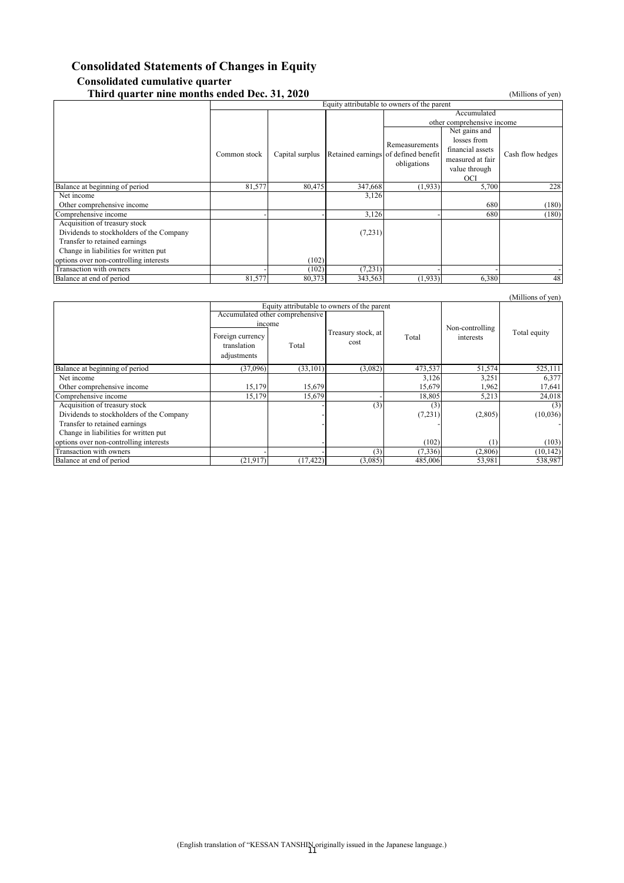#### **Consolidated Statements of Changes in Equity Consolidated cumulative quarter Third quarter nine months ended Dec. 31, 2020** (Millions of yen)

|                                          | Equity attributable to owners of the parent |                 |                                      |                            |                  |                  |  |
|------------------------------------------|---------------------------------------------|-----------------|--------------------------------------|----------------------------|------------------|------------------|--|
|                                          |                                             |                 |                                      | Accumulated                |                  |                  |  |
|                                          |                                             |                 |                                      | other comprehensive income |                  |                  |  |
|                                          |                                             |                 |                                      |                            | Net gains and    |                  |  |
|                                          |                                             |                 |                                      | Remeasurements             | losses from      |                  |  |
|                                          | Common stock                                | Capital surplus | Retained earnings of defined benefit |                            | financial assets | Cash flow hedges |  |
|                                          |                                             |                 |                                      | obligations                | measured at fair |                  |  |
|                                          |                                             |                 |                                      |                            | value through    |                  |  |
|                                          |                                             |                 |                                      |                            | OCI              |                  |  |
| Balance at beginning of period           | 81,577                                      | 80,475          | 347,668                              | (1,933)                    | 5,700            | 228              |  |
| Net income                               |                                             |                 | 3,126                                |                            |                  |                  |  |
| Other comprehensive income               |                                             |                 |                                      |                            | 680              | (180)            |  |
| Comprehensive income                     |                                             |                 | 3,126                                |                            | 680              | (180)            |  |
| Acquisition of treasury stock            |                                             |                 |                                      |                            |                  |                  |  |
| Dividends to stockholders of the Company |                                             |                 | (7,231)                              |                            |                  |                  |  |
| Transfer to retained earnings            |                                             |                 |                                      |                            |                  |                  |  |
| Change in liabilities for written put    |                                             |                 |                                      |                            |                  |                  |  |
| options over non-controlling interests   |                                             | (102)           |                                      |                            |                  |                  |  |
| Transaction with owners                  |                                             | (102)           | (7,231)                              |                            |                  |                  |  |
| Balance at end of period                 | 81,577                                      | 80,373          | 343,563                              | (1,933)                    | 6,380            | 48               |  |

|                                          |                                                                                                                                                     |           |                            |          |                              | (Millions of yen) |
|------------------------------------------|-----------------------------------------------------------------------------------------------------------------------------------------------------|-----------|----------------------------|----------|------------------------------|-------------------|
|                                          | Equity attributable to owners of the parent<br>Accumulated other comprehensive<br>income<br>Foreign currency<br>translation<br>Total<br>adjustments |           | Treasury stock, at<br>cost | Total    | Non-controlling<br>interests | Total equity      |
| Balance at beginning of period           | (37,096)                                                                                                                                            | (33, 101) | (3,082)                    | 473,537  | 51,574                       | 525,111           |
| Net income                               |                                                                                                                                                     |           |                            | 3,126    | 3,251                        | 6,377             |
| Other comprehensive income               | 15,179                                                                                                                                              | 15,679    |                            | 15,679   | 1,962                        | 17,641            |
| Comprehensive income                     | 15,179                                                                                                                                              | 15,679    |                            | 18,805   | 5,213                        | 24,018            |
| Acquisition of treasury stock            |                                                                                                                                                     |           | (3)                        | (3)      |                              | (3)               |
| Dividends to stockholders of the Company |                                                                                                                                                     |           |                            | (7,231)  | (2,805)                      | (10,036)          |
| Transfer to retained earnings            |                                                                                                                                                     |           |                            |          |                              |                   |
| Change in liabilities for written put    |                                                                                                                                                     |           |                            |          |                              |                   |
| options over non-controlling interests   |                                                                                                                                                     |           |                            | (102)    | (1)                          | (103)             |
| Transaction with owners                  |                                                                                                                                                     |           | (3)                        | (7, 336) | (2,806)                      | (10, 142)         |
| Balance at end of period                 | (21, 917)                                                                                                                                           | (17, 422) | (3,085)                    | 485,006  | 53,981                       | 538,987           |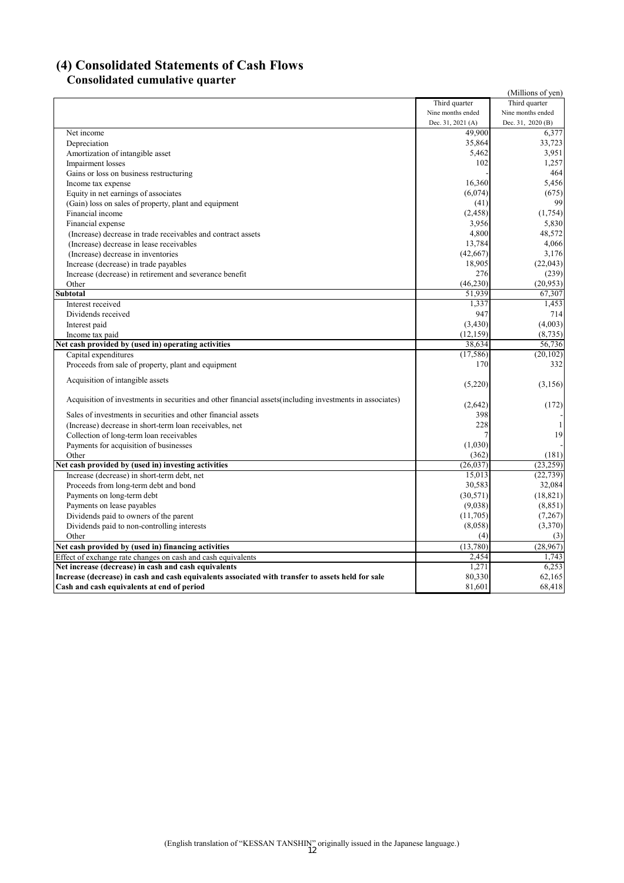# **(4) Consolidated Statements of Cash Flows**

# **Consolidated cumulative quarter**

|                                                                                                           |                   | (Millions of yen) |
|-----------------------------------------------------------------------------------------------------------|-------------------|-------------------|
|                                                                                                           | Third quarter     | Third quarter     |
|                                                                                                           | Nine months ended | Nine months ended |
|                                                                                                           | Dec. 31, 2021 (A) | Dec. 31, 2020 (B) |
| Net income                                                                                                | 49,900            | 6,377             |
| Depreciation                                                                                              | 35,864            | 33,723            |
| Amortization of intangible asset                                                                          | 5,462             | 3,951             |
| Impairment losses                                                                                         | 102               | 1,257             |
| Gains or loss on business restructuring                                                                   |                   | 464               |
| Income tax expense                                                                                        | 16,360            | 5,456             |
| Equity in net earnings of associates                                                                      | (6,074)           | (675)             |
| (Gain) loss on sales of property, plant and equipment                                                     | (41)              | 99                |
| Financial income                                                                                          | (2, 458)          | (1,754)           |
| Financial expense                                                                                         | 3,956             | 5,830             |
| (Increase) decrease in trade receivables and contract assets                                              | 4,800             | 48,572            |
| (Increase) decrease in lease receivables                                                                  | 13,784            | 4,066             |
| (Increase) decrease in inventories                                                                        | (42,667)          | 3,176             |
| Increase (decrease) in trade payables                                                                     | 18,905            | (22,043)          |
| Increase (decrease) in retirement and severance benefit                                                   | 276               | (239)             |
| Other                                                                                                     | (46.230)          | (20.953)          |
| <b>Subtotal</b>                                                                                           | 51,939            | 67,307            |
| Interest received                                                                                         | 1,337             | 1,453             |
| Dividends received                                                                                        | 947               | 714               |
| Interest paid                                                                                             | (3,430)           | (4,003)           |
| Income tax paid                                                                                           | (12, 159)         | (8,735)           |
| Net cash provided by (used in) operating activities                                                       | 38,634            | 56,736            |
| Capital expenditures                                                                                      | (17, 586)         | (20, 102)         |
| Proceeds from sale of property, plant and equipment                                                       | 170               | 332               |
|                                                                                                           |                   |                   |
| Acquisition of intangible assets                                                                          | (5,220)           | (3,156)           |
|                                                                                                           |                   |                   |
| Acquisition of investments in securities and other financial assets (including investments in associates) | (2,642)           | (172)             |
| Sales of investments in securities and other financial assets                                             | 398               |                   |
| (Increase) decrease in short-term loan receivables, net                                                   | 228               | 1                 |
| Collection of long-term loan receivables                                                                  | 7                 | 19                |
| Payments for acquisition of businesses                                                                    | (1,030)           |                   |
| Other                                                                                                     | (362)             | (181)             |
| Net cash provided by (used in) investing activities                                                       | (26, 037)         | (23, 259)         |
| Increase (decrease) in short-term debt, net                                                               | 15,013            | (22, 739)         |
| Proceeds from long-term debt and bond                                                                     | 30,583            | 32,084            |
| Payments on long-term debt                                                                                | (30,571)          | (18, 821)         |
| Payments on lease payables                                                                                | (9,038)           | (8, 851)          |
| Dividends paid to owners of the parent                                                                    | (11,705)          | (7,267)           |
| Dividends paid to non-controlling interests                                                               | (8,058)           | (3,370)           |
| Other                                                                                                     | (4)               | (3)               |
| Net cash provided by (used in) financing activities                                                       | (13,780)          | (28, 967)         |
| Effect of exchange rate changes on cash and cash equivalents                                              | 2,454             | 1,743             |
| Net increase (decrease) in cash and cash equivalents                                                      | 1,271             | 6,253             |
| Increase (decrease) in cash and cash equivalents associated with transfer to assets held for sale         | 80,330            | 62,165            |
| Cash and cash equivalents at end of period                                                                | 81,601            | 68,418            |
|                                                                                                           |                   |                   |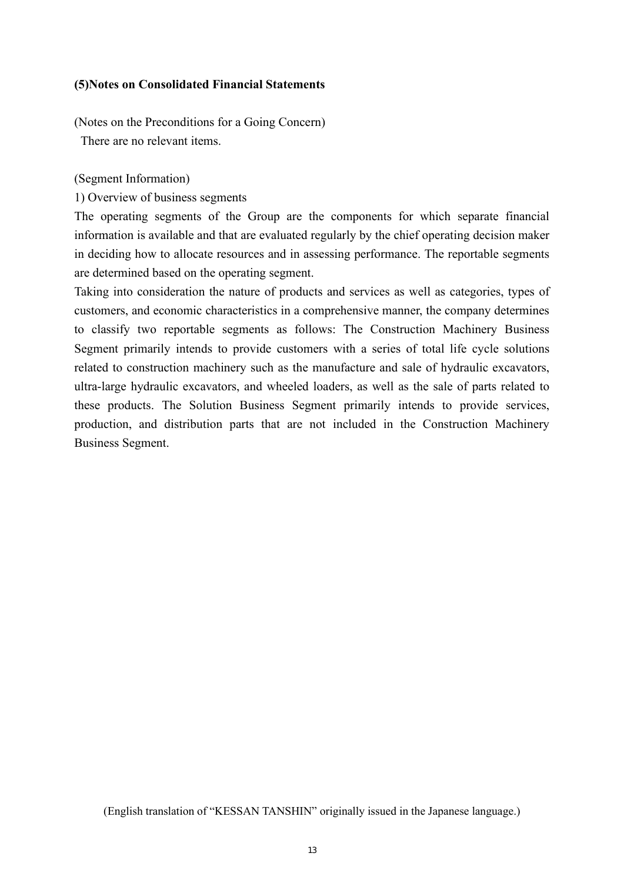## **(5)Notes on Consolidated Financial Statements**

(Notes on the Preconditions for a Going Concern)

There are no relevant items.

(Segment Information)

1) Overview of business segments

The operating segments of the Group are the components for which separate financial information is available and that are evaluated regularly by the chief operating decision maker in deciding how to allocate resources and in assessing performance. The reportable segments are determined based on the operating segment.

Taking into consideration the nature of products and services as well as categories, types of customers, and economic characteristics in a comprehensive manner, the company determines to classify two reportable segments as follows: The Construction Machinery Business Segment primarily intends to provide customers with a series of total life cycle solutions related to construction machinery such as the manufacture and sale of hydraulic excavators, ultra-large hydraulic excavators, and wheeled loaders, as well as the sale of parts related to these products. The Solution Business Segment primarily intends to provide services, production, and distribution parts that are not included in the Construction Machinery Business Segment.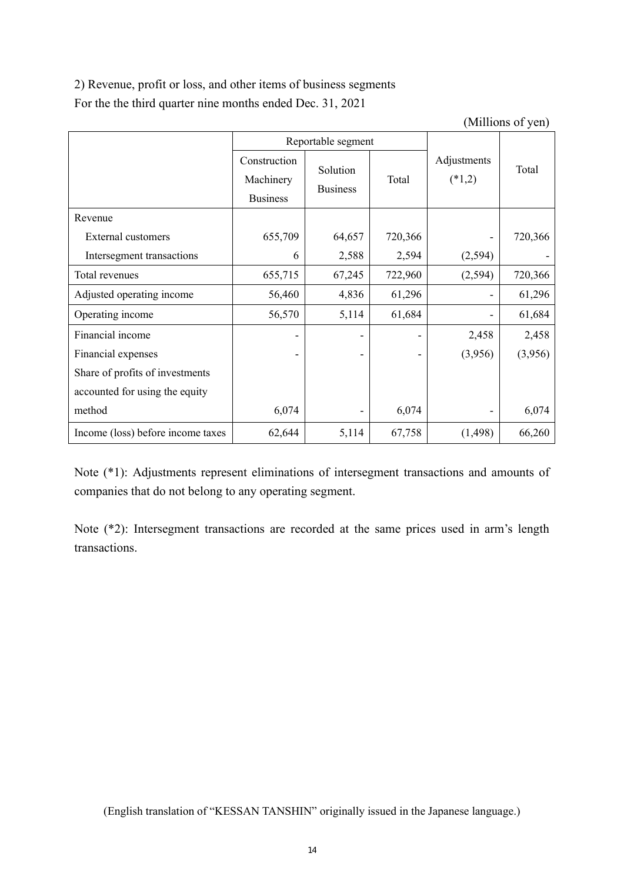2) Revenue, profit or loss, and other items of business segments For the the third quarter nine months ended Dec. 31, 2021

(Millions of yen)

|                                   |                           | Reportable segment          |         |                         |         |
|-----------------------------------|---------------------------|-----------------------------|---------|-------------------------|---------|
|                                   | Construction<br>Machinery | Solution<br><b>Business</b> | Total   | Adjustments<br>$(*1,2)$ | Total   |
|                                   | <b>Business</b>           |                             |         |                         |         |
| Revenue                           |                           |                             |         |                         |         |
| External customers                | 655,709                   | 64,657                      | 720,366 |                         | 720,366 |
| Intersegment transactions         | 6                         | 2,588                       | 2,594   | (2, 594)                |         |
| Total revenues                    | 655,715                   | 67,245                      | 722,960 | (2,594)                 | 720,366 |
| Adjusted operating income         | 56,460                    | 4,836                       | 61,296  |                         | 61,296  |
| Operating income                  | 56,570                    | 5,114                       | 61,684  |                         | 61,684  |
| Financial income                  |                           |                             |         | 2,458                   | 2,458   |
| Financial expenses                |                           |                             |         | (3,956)                 | (3,956) |
| Share of profits of investments   |                           |                             |         |                         |         |
| accounted for using the equity    |                           |                             |         |                         |         |
| method                            | 6,074                     |                             | 6,074   |                         | 6,074   |
| Income (loss) before income taxes | 62,644                    | 5,114                       | 67,758  | (1, 498)                | 66,260  |

Note (\*1): Adjustments represent eliminations of intersegment transactions and amounts of companies that do not belong to any operating segment.

Note (\*2): Intersegment transactions are recorded at the same prices used in arm's length transactions.